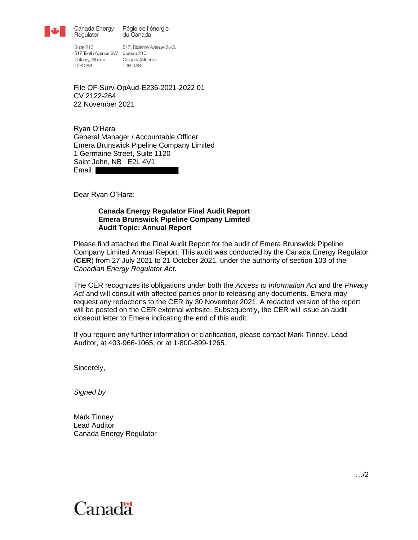

Canada Energy Régie de l'énergie du Canada

Suite 210 517 Tenth Avenue SW bureau 210 Calgary, Alberta Calgary (Alberta) **T2R 0A8** 

Regulator

517, Dixième Avenue S.-O. **T2R 0A8** 

File OF-Surv-OpAud-E236-2021-2022 01 CV 2122-264 22 November 2021

Ryan O'Hara General Manager / Accountable Officer Emera Brunswick Pipeline Company Limited 1 Germaine Street, Suite 1120 Saint John, NB E2L 4V1 Email:

<span id="page-0-0"></span>Dear Ryan O'Hara:

#### <span id="page-0-1"></span>**Canada Energy Regulator Final Audit Report Emera Brunswick Pipeline Company Limited Audit Topic: Annual Report**

Please find attached the Final Audit Report for the audit of [Emera Brunswick Pipeline](#page-0-0)  [Company Limited](#page-0-0) [Annual Report.](#page-0-1) This audit was conducted by the Canada Energy Regulator (**CER**) from 27 July 2021 to 21 October 2021, under the authority of section 103 of the *Canadian Energy Regulator Act*.

The CER recognizes its obligations under both the *Access to Information Act* and the *Privacy*  Act and will consult with affected parties prior to releasing any documents. Emera may request any redactions to the CER by 30 November 2021. A redacted version of the report will be posted on the CER external website. Subsequently, the CER will issue an audit closeout letter to Emera indicating the end of this audit.

If you require any further information or clarification, please contact Mark Tinney, Lead Auditor, at 403-966-1065, or at 1-800-899-1265.

Sincerely,

*Signed by*

[Mark Tinney](#page-0-2) Lead Auditor Canada Energy Regulator



<span id="page-0-2"></span>…/2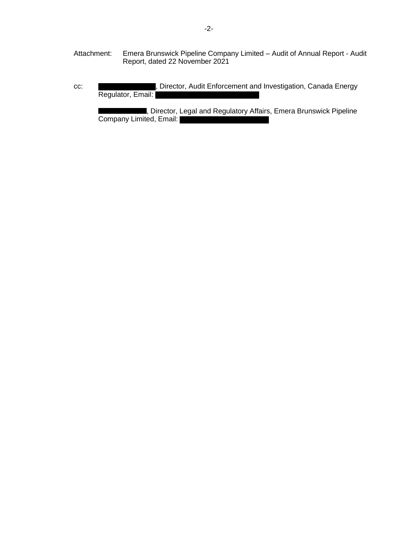- Attachment: Emera Brunswick Pipeline Company Limited Audit of Annual Report Audit Report, dated 22 November 2021
- cc: **1988** The University Director, Audit Enforcement and Investigation, Canada Energy Regulator, Email:

, Director, Legal and Regulatory Affairs, Emera Brunswick Pipeline Company Limited, Email: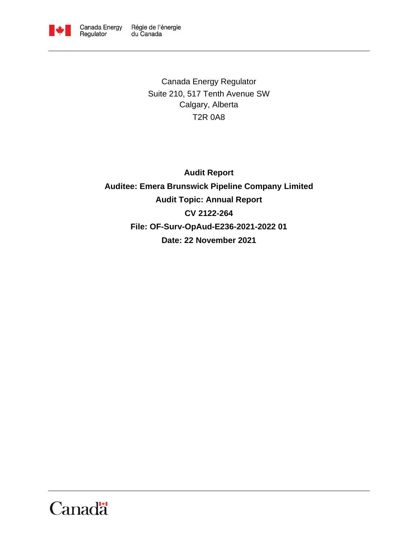

Canada Energy Regulator Suite 210, 517 Tenth Avenue SW Calgary, Alberta T2R 0A8

**Audit Report Auditee: Emera Brunswick Pipeline Company Limited Audit Topic: Annual Report CV 2122-264 File: OF-Surv-OpAud-E236-2021-2022 01 Date: 22 November 2021**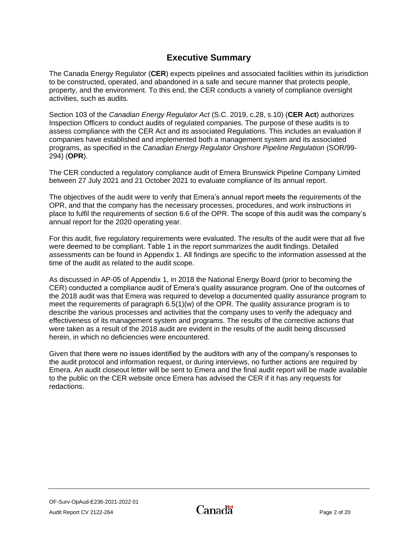# **Executive Summary**

<span id="page-3-0"></span>The Canada Energy Regulator (**CER**) expects pipelines and associated facilities within its jurisdiction to be constructed, operated, and abandoned in a safe and secure manner that protects people, property, and the environment. To this end, the CER conducts a variety of compliance oversight activities, such as audits.

Section 103 of the *Canadian Energy Regulator Act* (S.C. 2019, c.28, s.10) (**CER Act**) authorizes Inspection Officers to conduct audits of regulated companies. The purpose of these audits is to assess compliance with the CER Act and its associated Regulations. This includes an evaluation if companies have established and implemented both a management system and its associated programs, as specified in the *Canadian Energy Regulator Onshore Pipeline Regulation* (SOR/99- 294) (**OPR**).

The CER conducted a regulatory compliance audit of Emera Brunswick Pipeline Company Limited between 27 July 2021 and 21 October 2021 to evaluate compliance of its annual report.

The objectives of the audit were to verify that Emera's annual report meets the requirements of the OPR, and that the company has the necessary processes, procedures, and work instructions in place to fulfil the requirements of section 6.6 of the OPR. The scope of this audit was the company's annual report for the 2020 operating year.

For this audit, five regulatory requirements were evaluated. The results of the audit were that all five were deemed to be compliant. Table 1 in the report summarizes the audit findings. Detailed assessments can be found in Appendix 1. All findings are specific to the information assessed at the time of the audit as related to the audit scope.

As discussed in AP-05 of Appendix 1, in 2018 the National Energy Board (prior to becoming the CER) conducted a compliance audit of Emera's quality assurance program. One of the outcomes of the 2018 audit was that Emera was required to develop a documented quality assurance program to meet the requirements of paragraph 6.5(1)(w) of the OPR. The quality assurance program is to describe the various processes and activities that the company uses to verify the adequacy and effectiveness of its management system and programs. The results of the corrective actions that were taken as a result of the 2018 audit are evident in the results of the audit being discussed herein, in which no deficiencies were encountered.

Given that there were no issues identified by the auditors with any of the company's responses to the audit protocol and information request, or during interviews, no further actions are required by Emera. An audit closeout letter will be sent to Emera and the final audit report will be made available to the public on the CER website once Emera has advised the CER if it has any requests for redactions.

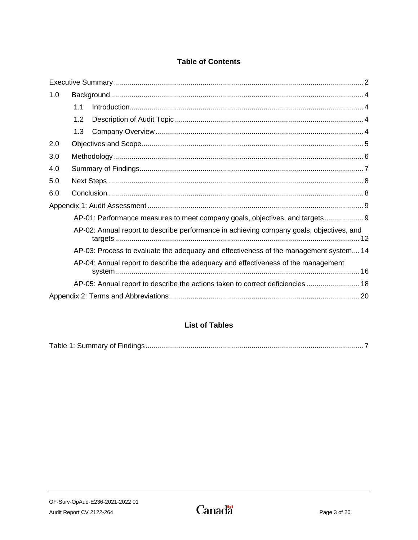# **Table of Contents**

| 1.0 |     |                                                                                          |
|-----|-----|------------------------------------------------------------------------------------------|
|     | 1.1 |                                                                                          |
|     | 1.2 |                                                                                          |
|     | 1.3 |                                                                                          |
| 2.0 |     |                                                                                          |
| 3.0 |     |                                                                                          |
| 4.0 |     |                                                                                          |
| 5.0 |     |                                                                                          |
| 6.0 |     |                                                                                          |
|     |     |                                                                                          |
|     |     | AP-01: Performance measures to meet company goals, objectives, and targets               |
|     |     | AP-02: Annual report to describe performance in achieving company goals, objectives, and |
|     |     | AP-03: Process to evaluate the adequacy and effectiveness of the management system14     |
|     |     | AP-04: Annual report to describe the adequacy and effectiveness of the management        |
|     |     | AP-05: Annual report to describe the actions taken to correct deficiencies  18           |
|     |     |                                                                                          |

# **List of Tables**

|--|--|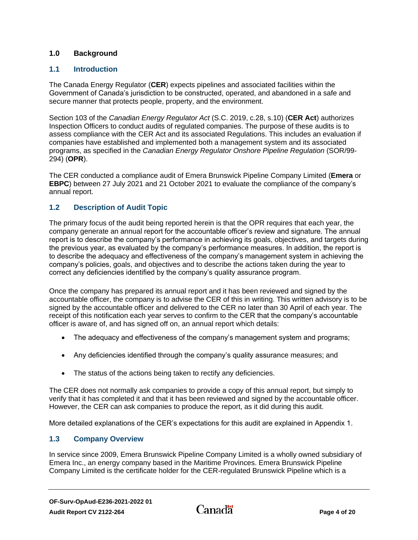### <span id="page-5-0"></span>**1.0 Background**

### <span id="page-5-1"></span>**1.1 Introduction**

The Canada Energy Regulator (**CER**) expects pipelines and associated facilities within the Government of Canada's jurisdiction to be constructed, operated, and abandoned in a safe and secure manner that protects people, property, and the environment.

Section 103 of the *Canadian Energy Regulator Act* (S.C. 2019, c.28, s.10) (**CER Act**) authorizes Inspection Officers to conduct audits of regulated companies. The purpose of these audits is to assess compliance with the CER Act and its associated Regulations. This includes an evaluation if companies have established and implemented both a management system and its associated programs, as specified in the *Canadian Energy Regulator Onshore Pipeline Regulation* (SOR/99- 294) (**OPR**).

The CER conducted a compliance audit of Emera Brunswick Pipeline Company Limited (**Emera** or **EBPC**) between 27 July 2021 and 21 October 2021 to evaluate the compliance of the company's annual report.

### <span id="page-5-2"></span>**1.2 Description of Audit Topic**

The primary focus of the audit being reported herein is that the OPR requires that each year, the company generate an annual report for the accountable officer's review and signature. The annual report is to describe the company's performance in achieving its goals, objectives, and targets during the previous year, as evaluated by the company's performance measures. In addition, the report is to describe the adequacy and effectiveness of the company's management system in achieving the company's policies, goals, and objectives and to describe the actions taken during the year to correct any deficiencies identified by the company's quality assurance program.

Once the company has prepared its annual report and it has been reviewed and signed by the accountable officer, the company is to advise the CER of this in writing. This written advisory is to be signed by the accountable officer and delivered to the CER no later than 30 April of each year. The receipt of this notification each year serves to confirm to the CER that the company's accountable officer is aware of, and has signed off on, an annual report which details:

- The adequacy and effectiveness of the company's management system and programs;
- Any deficiencies identified through the company's quality assurance measures; and
- The status of the actions being taken to rectify any deficiencies.

The CER does not normally ask companies to provide a copy of this annual report, but simply to verify that it has completed it and that it has been reviewed and signed by the accountable officer. However, the CER can ask companies to produce the report, as it did during this audit.

More detailed explanations of the CER's expectations for this audit are explained in Appendix 1.

### <span id="page-5-3"></span>**1.3 Company Overview**

In service since 2009, Emera Brunswick Pipeline Company Limited is a wholly owned subsidiary of [Emera Inc.,](http://www.emera.com/) an energy company based in the Maritime Provinces. Emera Brunswick Pipeline Company Limited is the certificate holder for the CER-regulated Brunswick Pipeline which is a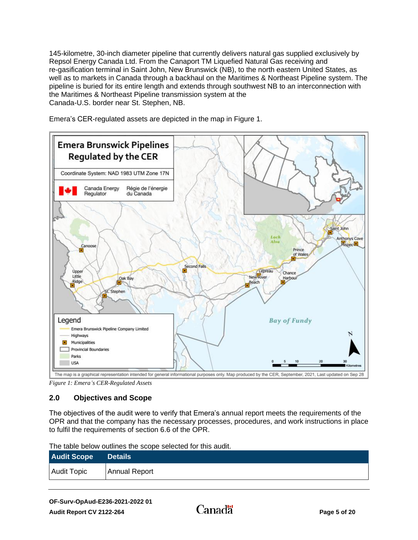145-kilometre, 30-inch diameter pipeline that currently delivers natural gas supplied exclusively by Repsol Energy Canada Ltd. From the Canaport TM Liquefied Natural Gas receiving and re-gasification terminal in Saint John, New Brunswick (NB), to the north eastern United States, as well as to markets in Canada through a backhaul on the Maritimes & Northeast Pipeline system. The pipeline is buried for its entire length and extends through southwest NB to an interconnection with the Maritimes & Northeast Pipeline transmission system at the Canada-U.S. border near St. Stephen, NB.

Emera's CER-regulated assets are depicted in the map in Figure 1.



*Figure 1: Emera's CER-Regulated Assets*

# <span id="page-6-0"></span>**2.0 Objectives and Scope**

The objectives of the audit were to verify that Emera's annual report meets the requirements of the OPR and that the company has the necessary processes, procedures, and work instructions in place to fulfil the requirements of section 6.6 of the OPR.

| <b>Audit Scope</b> | <b>Details</b> |
|--------------------|----------------|
| Audit Topic        | Annual Report  |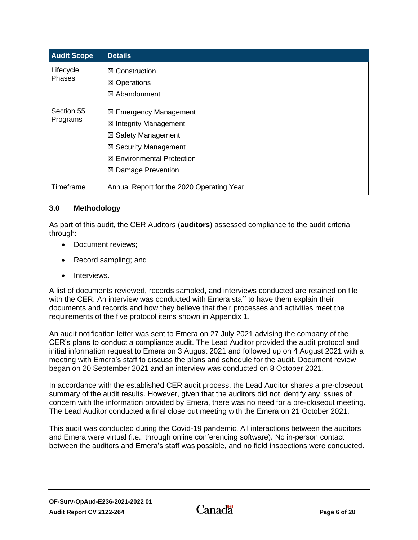| <b>Audit Scope</b>     | <b>Details</b>                                                                                                                                                                   |
|------------------------|----------------------------------------------------------------------------------------------------------------------------------------------------------------------------------|
| Lifecycle<br>Phases    | $\boxtimes$ Construction<br>⊠ Operations<br>⊠ Abandonment                                                                                                                        |
| Section 55<br>Programs | ⊠ Emergency Management<br>$\boxtimes$ Integrity Management<br>$\boxtimes$ Safety Management<br>⊠ Security Management<br><b>⊠ Environmental Protection</b><br>⊠ Damage Prevention |
| Timeframe              | Annual Report for the 2020 Operating Year                                                                                                                                        |

### <span id="page-7-0"></span>**3.0 Methodology**

As part of this audit, the CER Auditors (**auditors**) assessed compliance to the audit criteria through:

- Document reviews;
- Record sampling; and
- Interviews.

A list of documents reviewed, records sampled, and interviews conducted are retained on file with the CER. An interview was conducted with Emera staff to have them explain their documents and records and how they believe that their processes and activities meet the requirements of the five protocol items shown in Appendix 1.

An audit notification letter was sent to Emera on 27 July 2021 advising the company of the CER's plans to conduct a compliance audit. The Lead Auditor provided the audit protocol and initial information request to Emera on 3 August 2021 and followed up on 4 August 2021 with a meeting with Emera's staff to discuss the plans and schedule for the audit. Document review began on 20 September 2021 and an interview was conducted on 8 October 2021.

In accordance with the established CER audit process, the Lead Auditor shares a pre-closeout summary of the audit results. However, given that the auditors did not identify any issues of concern with the information provided by Emera, there was no need for a pre-closeout meeting. The Lead Auditor conducted a final close out meeting with the Emera on 21 October 2021.

This audit was conducted during the Covid-19 pandemic. All interactions between the auditors and Emera were virtual (i.e., through online conferencing software). No in-person contact between the auditors and Emera's staff was possible, and no field inspections were conducted.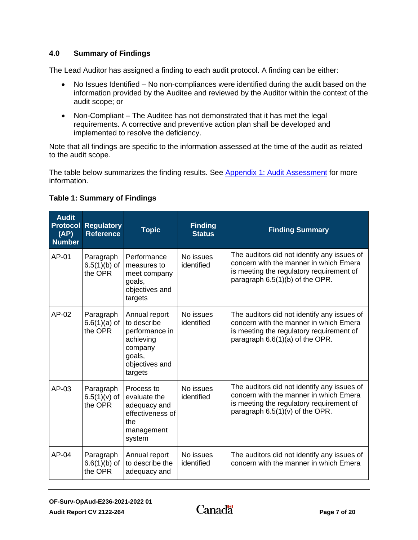### <span id="page-8-0"></span>**4.0 Summary of Findings**

The Lead Auditor has assigned a finding to each audit protocol. A finding can be either:

- No Issues Identified No non-compliances were identified during the audit based on the information provided by the Auditee and reviewed by the Auditor within the context of the audit scope; or
- Non-Compliant The Auditee has not demonstrated that it has met the legal requirements. A corrective and preventive action plan shall be developed and implemented to resolve the deficiency.

Note that all findings are specific to the information assessed at the time of the audit as related to the audit scope.

The table below summarizes the finding results. See [Appendix 1: Audit Assessment](#page-10-0) for more information.

### <span id="page-8-1"></span>**Table 1: Summary of Findings**

| <b>Audit</b><br><b>Protocol</b><br>(AP)<br><b>Number</b> | <b>Regulatory</b><br><b>Reference</b>  | <b>Topic</b>                                                                                                  | <b>Finding</b><br><b>Status</b> | <b>Finding Summary</b>                                                                                                                                                 |
|----------------------------------------------------------|----------------------------------------|---------------------------------------------------------------------------------------------------------------|---------------------------------|------------------------------------------------------------------------------------------------------------------------------------------------------------------------|
| AP-01                                                    | Paragraph<br>$6.5(1)(b)$ of<br>the OPR | Performance<br>measures to<br>meet company<br>goals,<br>objectives and<br>targets                             | No issues<br>identified         | The auditors did not identify any issues of<br>concern with the manner in which Emera<br>is meeting the regulatory requirement of<br>paragraph 6.5(1)(b) of the OPR.   |
| $AP-02$                                                  | Paragraph<br>$6.6(1)(a)$ of<br>the OPR | Annual report<br>to describe<br>performance in<br>achieving<br>company<br>goals,<br>objectives and<br>targets | No issues<br>identified         | The auditors did not identify any issues of<br>concern with the manner in which Emera<br>is meeting the regulatory requirement of<br>paragraph 6.6(1)(a) of the OPR.   |
| AP-03                                                    | Paragraph<br>$6.5(1)(v)$ of<br>the OPR | Process to<br>evaluate the<br>adequacy and<br>effectiveness of<br>the<br>management<br>system                 | No issues<br>identified         | The auditors did not identify any issues of<br>concern with the manner in which Emera<br>is meeting the regulatory requirement of<br>paragraph $6.5(1)(v)$ of the OPR. |
| $AP-04$                                                  | Paragraph<br>$6.6(1)(b)$ of<br>the OPR | Annual report<br>to describe the<br>adequacy and                                                              | No issues<br>identified         | The auditors did not identify any issues of<br>concern with the manner in which Emera                                                                                  |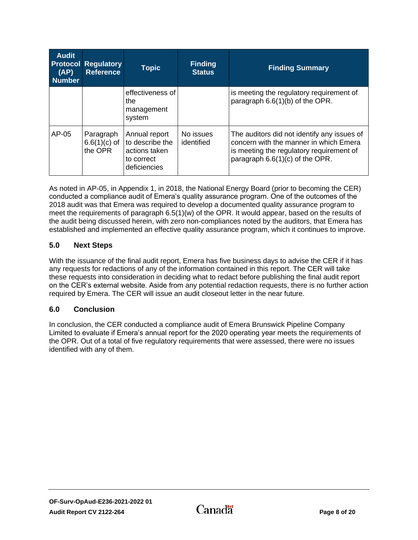| <b>Audit</b><br>(AP)<br><b>Number</b> | <b>Protocol Regulatory</b><br><b>Reference</b> | <b>Topic</b>                                                                    | <b>Finding</b><br><b>Status</b> | <b>Finding Summary</b>                                                                                                                                               |
|---------------------------------------|------------------------------------------------|---------------------------------------------------------------------------------|---------------------------------|----------------------------------------------------------------------------------------------------------------------------------------------------------------------|
|                                       |                                                | effectiveness of<br>the<br>management<br>system                                 |                                 | is meeting the regulatory requirement of<br>paragraph 6.6(1)(b) of the OPR.                                                                                          |
| $AP-05$                               | Paragraph<br>$6.6(1)(c)$ of<br>the OPR         | Annual report<br>to describe the<br>actions taken<br>to correct<br>deficiencies | No issues<br>identified         | The auditors did not identify any issues of<br>concern with the manner in which Emera<br>is meeting the regulatory requirement of<br>paragraph 6.6(1)(c) of the OPR. |

As noted in AP-05, in Appendix 1, in 2018, the National Energy Board (prior to becoming the CER) conducted a compliance audit of Emera's quality assurance program. One of the outcomes of the 2018 audit was that Emera was required to develop a documented quality assurance program to meet the requirements of paragraph 6.5(1)(w) of the OPR. It would appear, based on the results of the audit being discussed herein, with zero non-compliances noted by the auditors, that Emera has established and implemented an effective quality assurance program, which it continues to improve.

### <span id="page-9-0"></span>**5.0 Next Steps**

With the issuance of the final audit report, Emera has five business days to advise the CER if it has any requests for redactions of any of the information contained in this report. The CER will take these requests into consideration in deciding what to redact before publishing the final audit report on the CER's external website. Aside from any potential redaction requests, there is no further action required by Emera. The CER will issue an audit closeout letter in the near future.

### <span id="page-9-1"></span>**6.0 Conclusion**

In conclusion, the CER conducted a compliance audit of Emera Brunswick Pipeline Company Limited to evaluate if Emera's annual report for the 2020 operating year meets the requirements of the OPR. Out of a total of five regulatory requirements that were assessed, there were no issues identified with any of them.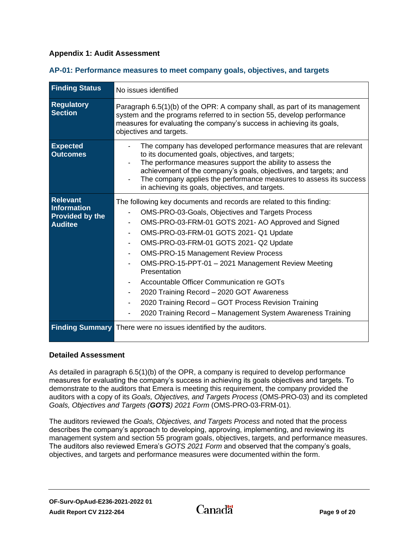### <span id="page-10-0"></span>**Appendix 1: Audit Assessment**

| <b>Finding Status</b>                                                      | No issues identified                                                                                                                                                                                                                                                                                                                                                                                                                                                                                                                                                                                      |  |  |
|----------------------------------------------------------------------------|-----------------------------------------------------------------------------------------------------------------------------------------------------------------------------------------------------------------------------------------------------------------------------------------------------------------------------------------------------------------------------------------------------------------------------------------------------------------------------------------------------------------------------------------------------------------------------------------------------------|--|--|
| <b>Regulatory</b><br><b>Section</b>                                        | Paragraph 6.5(1)(b) of the OPR: A company shall, as part of its management<br>system and the programs referred to in section 55, develop performance<br>measures for evaluating the company's success in achieving its goals,<br>objectives and targets.                                                                                                                                                                                                                                                                                                                                                  |  |  |
| <b>Expected</b><br><b>Outcomes</b>                                         | The company has developed performance measures that are relevant<br>to its documented goals, objectives, and targets;<br>The performance measures support the ability to assess the<br>achievement of the company's goals, objectives, and targets; and<br>The company applies the performance measures to assess its success<br>in achieving its goals, objectives, and targets.                                                                                                                                                                                                                         |  |  |
| <b>Relevant</b><br>Information<br><b>Provided by the</b><br><b>Auditee</b> | The following key documents and records are related to this finding:<br>OMS-PRO-03-Goals, Objectives and Targets Process<br>OMS-PRO-03-FRM-01 GOTS 2021- AO Approved and Signed<br>OMS-PRO-03-FRM-01 GOTS 2021- Q1 Update<br>OMS-PRO-03-FRM-01 GOTS 2021- Q2 Update<br><b>OMS-PRO-15 Management Review Process</b><br>OMS-PRO-15-PPT-01 - 2021 Management Review Meeting<br>Presentation<br>Accountable Officer Communication re GOTs<br>2020 Training Record - 2020 GOT Awareness<br>2020 Training Record - GOT Process Revision Training<br>2020 Training Record - Management System Awareness Training |  |  |
|                                                                            | <b>Finding Summary There were no issues identified by the auditors.</b>                                                                                                                                                                                                                                                                                                                                                                                                                                                                                                                                   |  |  |

#### <span id="page-10-1"></span>**AP-01: Performance measures to meet company goals, objectives, and targets**

#### **Detailed Assessment**

As detailed in paragraph 6.5(1)(b) of the OPR, a company is required to develop performance measures for evaluating the company's success in achieving its goals objectives and targets. To demonstrate to the auditors that Emera is meeting this requirement, the company provided the auditors with a copy of its *Goals, Objectives, and Targets Process* (OMS-PRO-03) and its completed *Goals, Objectives and Targets (GOTS) 2021 Form* (OMS-PRO-03-FRM-01).

The auditors reviewed the *Goals, Objectives, and Targets Process* and noted that the process describes the company's approach to developing, approving, implementing, and reviewing its management system and section 55 program goals, objectives, targets, and performance measures. The auditors also reviewed Emera's *GOTS 2021 Form* and observed that the company's goals, objectives, and targets and performance measures were documented within the form.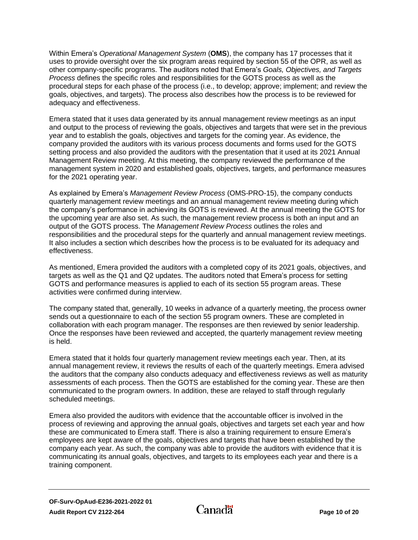Within Emera's *Operational Management System* (**OMS**), the company has 17 processes that it uses to provide oversight over the six program areas required by section 55 of the OPR, as well as other company-specific programs. The auditors noted that Emera's *Goals, Objectives, and Targets Process* defines the specific roles and responsibilities for the GOTS process as well as the procedural steps for each phase of the process (i.e., to develop; approve; implement; and review the goals, objectives, and targets). The process also describes how the process is to be reviewed for adequacy and effectiveness.

Emera stated that it uses data generated by its annual management review meetings as an input and output to the process of reviewing the goals, objectives and targets that were set in the previous year and to establish the goals, objectives and targets for the coming year. As evidence, the company provided the auditors with its various process documents and forms used for the GOTS setting process and also provided the auditors with the presentation that it used at its 2021 Annual Management Review meeting. At this meeting, the company reviewed the performance of the management system in 2020 and established goals, objectives, targets, and performance measures for the 2021 operating year.

As explained by Emera's *Management Review Process* (OMS-PRO-15), the company conducts quarterly management review meetings and an annual management review meeting during which the company's performance in achieving its GOTS is reviewed. At the annual meeting the GOTS for the upcoming year are also set. As such, the management review process is both an input and an output of the GOTS process. The *Management Review Process* outlines the roles and responsibilities and the procedural steps for the quarterly and annual management review meetings. It also includes a section which describes how the process is to be evaluated for its adequacy and effectiveness.

As mentioned, Emera provided the auditors with a completed copy of its 2021 goals, objectives, and targets as well as the Q1 and Q2 updates. The auditors noted that Emera's process for setting GOTS and performance measures is applied to each of its section 55 program areas. These activities were confirmed during interview.

The company stated that, generally, 10 weeks in advance of a quarterly meeting, the process owner sends out a questionnaire to each of the section 55 program owners. These are completed in collaboration with each program manager. The responses are then reviewed by senior leadership. Once the responses have been reviewed and accepted, the quarterly management review meeting is held.

Emera stated that it holds four quarterly management review meetings each year. Then, at its annual management review, it reviews the results of each of the quarterly meetings. Emera advised the auditors that the company also conducts adequacy and effectiveness reviews as well as maturity assessments of each process. Then the GOTS are established for the coming year. These are then communicated to the program owners. In addition, these are relayed to staff through regularly scheduled meetings.

Emera also provided the auditors with evidence that the accountable officer is involved in the process of reviewing and approving the annual goals, objectives and targets set each year and how these are communicated to Emera staff. There is also a training requirement to ensure Emera's employees are kept aware of the goals, objectives and targets that have been established by the company each year. As such, the company was able to provide the auditors with evidence that it is communicating its annual goals, objectives, and targets to its employees each year and there is a training component.

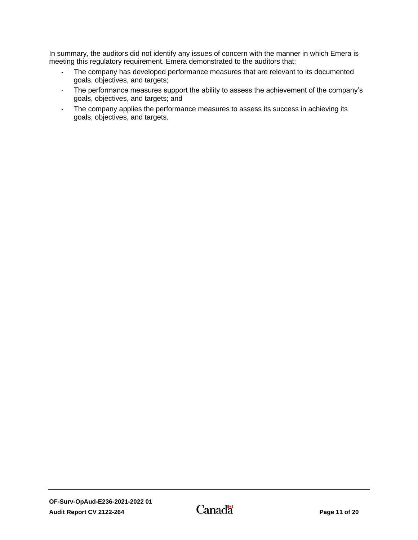In summary, the auditors did not identify any issues of concern with the manner in which Emera is meeting this regulatory requirement. Emera demonstrated to the auditors that:

- The company has developed performance measures that are relevant to its documented goals, objectives, and targets;
- The performance measures support the ability to assess the achievement of the company's goals, objectives, and targets; and
- The company applies the performance measures to assess its success in achieving its goals, objectives, and targets.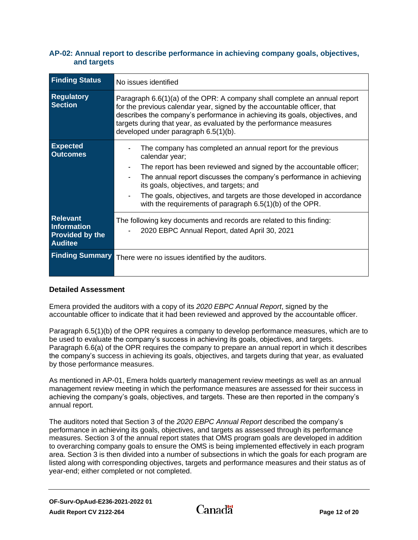### <span id="page-13-0"></span>**AP-02: Annual report to describe performance in achieving company goals, objectives, and targets**

| <b>Finding Status</b>                                                      | No issues identified                                                                                                                                                                                                                                                                                                                                                                                        |
|----------------------------------------------------------------------------|-------------------------------------------------------------------------------------------------------------------------------------------------------------------------------------------------------------------------------------------------------------------------------------------------------------------------------------------------------------------------------------------------------------|
| <b>Regulatory</b><br><b>Section</b>                                        | Paragraph 6.6(1)(a) of the OPR: A company shall complete an annual report<br>for the previous calendar year, signed by the accountable officer, that<br>describes the company's performance in achieving its goals, objectives, and<br>targets during that year, as evaluated by the performance measures<br>developed under paragraph 6.5(1)(b).                                                           |
| <b>Expected</b><br><b>Outcomes</b>                                         | The company has completed an annual report for the previous<br>calendar year;<br>The report has been reviewed and signed by the accountable officer;<br>The annual report discusses the company's performance in achieving<br>its goals, objectives, and targets; and<br>The goals, objectives, and targets are those developed in accordance<br>with the requirements of paragraph $6.5(1)(b)$ of the OPR. |
| <b>Relevant</b><br>Information<br><b>Provided by the</b><br><b>Auditee</b> | The following key documents and records are related to this finding:<br>2020 EBPC Annual Report, dated April 30, 2021                                                                                                                                                                                                                                                                                       |
|                                                                            | Finding Summary There were no issues identified by the auditors.                                                                                                                                                                                                                                                                                                                                            |

### **Detailed Assessment**

Emera provided the auditors with a copy of its *2020 EBPC Annual Report*, signed by the accountable officer to indicate that it had been reviewed and approved by the accountable officer.

Paragraph 6.5(1)(b) of the OPR requires a company to develop performance measures, which are to be used to evaluate the company's success in achieving its goals, objectives, and targets. Paragraph 6.6(a) of the OPR requires the company to prepare an annual report in which it describes the company's success in achieving its goals, objectives, and targets during that year, as evaluated by those performance measures.

As mentioned in AP-01, Emera holds quarterly management review meetings as well as an annual management review meeting in which the performance measures are assessed for their success in achieving the company's goals, objectives, and targets. These are then reported in the company's annual report.

The auditors noted that Section 3 of the *2020 EBPC Annual Report* described the company's performance in achieving its goals, objectives, and targets as assessed through its performance measures. Section 3 of the annual report states that OMS program goals are developed in addition to overarching company goals to ensure the OMS is being implemented effectively in each program area. Section 3 is then divided into a number of subsections in which the goals for each program are listed along with corresponding objectives, targets and performance measures and their status as of year-end; either completed or not completed.

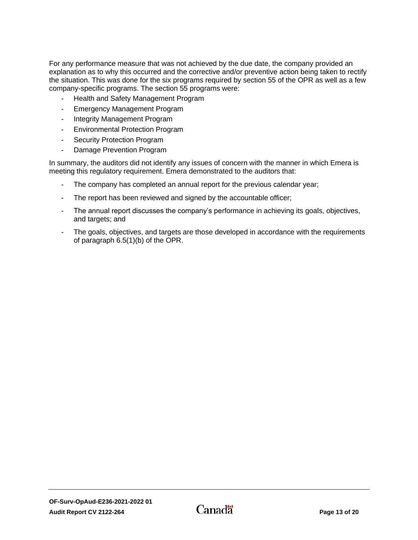For any performance measure that was not achieved by the due date, the company provided an explanation as to why this occurred and the corrective and/or preventive action being taken to rectify the situation. This was done for the six programs required by section 55 of the OPR as well as a few company-specific programs. The section 55 programs were:

- Health and Safety Management Program
- Emergency Management Program
- Integrity Management Program
- Environmental Protection Program
- Security Protection Program
- Damage Prevention Program

In summary, the auditors did not identify any issues of concern with the manner in which Emera is meeting this regulatory requirement. Emera demonstrated to the auditors that:

- The company has completed an annual report for the previous calendar year;
- The report has been reviewed and signed by the accountable officer;
- The annual report discusses the company's performance in achieving its goals, objectives, and targets; and
- The goals, objectives, and targets are those developed in accordance with the requirements of paragraph 6.5(1)(b) of the OPR.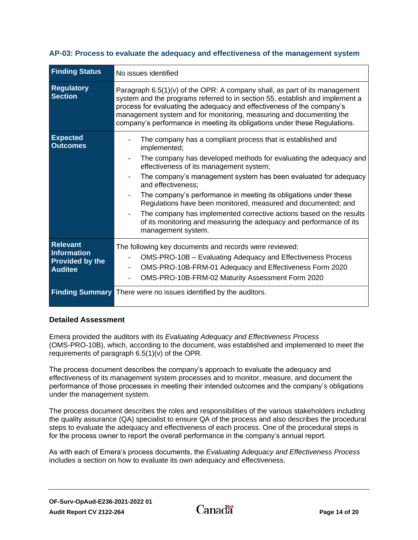| <b>Finding Status</b>                                                      | No issues identified                                                                                                                                                                                                                                                                                                                                                                                                                                                                                                                                                                          |
|----------------------------------------------------------------------------|-----------------------------------------------------------------------------------------------------------------------------------------------------------------------------------------------------------------------------------------------------------------------------------------------------------------------------------------------------------------------------------------------------------------------------------------------------------------------------------------------------------------------------------------------------------------------------------------------|
| <b>Regulatory</b><br><b>Section</b>                                        | Paragraph $6.5(1)(v)$ of the OPR: A company shall, as part of its management<br>system and the programs referred to in section 55, establish and implement a<br>process for evaluating the adequacy and effectiveness of the company's<br>management system and for monitoring, measuring and documenting the<br>company's performance in meeting its obligations under these Regulations.                                                                                                                                                                                                    |
| <b>Expected</b><br><b>Outcomes</b>                                         | The company has a compliant process that is established and<br>implemented;<br>The company has developed methods for evaluating the adequacy and<br>effectiveness of its management system;<br>The company's management system has been evaluated for adequacy<br>and effectiveness:<br>The company's performance in meeting its obligations under these<br>Regulations have been monitored, measured and documented; and<br>The company has implemented corrective actions based on the results<br>of its monitoring and measuring the adequacy and performance of its<br>management system. |
| <b>Relevant</b><br>Information<br><b>Provided by the</b><br><b>Auditee</b> | The following key documents and records were reviewed:<br>OMS-PRO-10B - Evaluating Adequacy and Effectiveness Process<br>OMS-PRO-10B-FRM-01 Adequacy and Effectiveness Form 2020<br>$\overline{\phantom{a}}$<br>OMS-PRO-10B-FRM-02 Maturity Assessment Form 2020                                                                                                                                                                                                                                                                                                                              |
|                                                                            | <b>Finding Summary There were no issues identified by the auditors.</b>                                                                                                                                                                                                                                                                                                                                                                                                                                                                                                                       |

#### <span id="page-15-0"></span>**AP-03: Process to evaluate the adequacy and effectiveness of the management system**

#### **Detailed Assessment**

Emera provided the auditors with its *Evaluating Adequacy and Effectiveness Process* (OMS-PRO-10B), which, according to the document, was established and implemented to meet the requirements of paragraph 6.5(1)(v) of the OPR.

The process document describes the company's approach to evaluate the adequacy and effectiveness of its management system processes and to monitor, measure, and document the performance of those processes in meeting their intended outcomes and the company's obligations under the management system.

The process document describes the roles and responsibilities of the various stakeholders including the quality assurance (QA) specialist to ensure QA of the process and also describes the procedural steps to evaluate the adequacy and effectiveness of each process. One of the procedural steps is for the process owner to report the overall performance in the company's annual report.

As with each of Emera's process documents, the *Evaluating Adequacy and Effectiveness Process* includes a section on how to evaluate its own adequacy and effectiveness.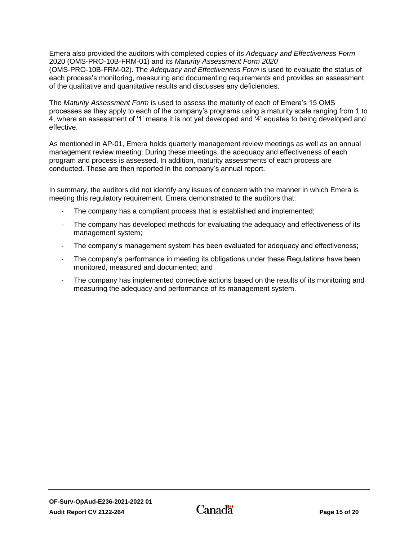Emera also provided the auditors with completed copies of its *Adequacy and Effectiveness Form* 2020 (OMS-PRO-10B-FRM-01) and its *Maturity Assessment Form 2020* (OMS-PRO-10B-FRM-02). The *Adequacy and Effectiveness Form* is used to evaluate the status of each process's monitoring, measuring and documenting requirements and provides an assessment of the qualitative and quantitative results and discusses any deficiencies.

The *Maturity Assessment Form* is used to assess the maturity of each of Emera's 15 OMS processes as they apply to each of the company's programs using a maturity scale ranging from 1 to 4, where an assessment of '1' means it is not yet developed and '4' equates to being developed and effective.

As mentioned in AP-01, Emera holds quarterly management review meetings as well as an annual management review meeting. During these meetings, the adequacy and effectiveness of each program and process is assessed. In addition, maturity assessments of each process are conducted. These are then reported in the company's annual report.

In summary, the auditors did not identify any issues of concern with the manner in which Emera is meeting this regulatory requirement. Emera demonstrated to the auditors that:

- The company has a compliant process that is established and implemented;
- The company has developed methods for evaluating the adequacy and effectiveness of its management system;
- The company's management system has been evaluated for adequacy and effectiveness;
- The company's performance in meeting its obligations under these Regulations have been monitored, measured and documented; and
- The company has implemented corrective actions based on the results of its monitoring and measuring the adequacy and performance of its management system.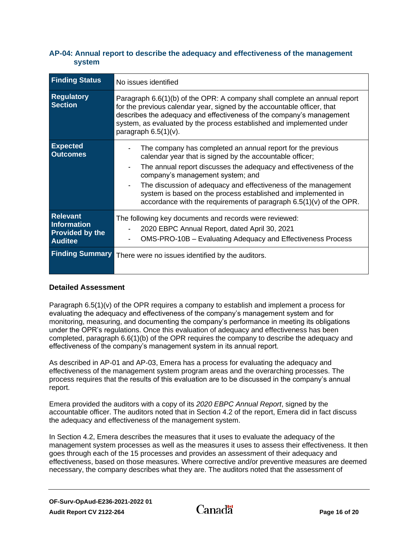### <span id="page-17-0"></span>**AP-04: Annual report to describe the adequacy and effectiveness of the management system**

| <b>Finding Status</b>                                                      | No issues identified                                                                                                                                                                                                                                                                                                                                                                                                                       |
|----------------------------------------------------------------------------|--------------------------------------------------------------------------------------------------------------------------------------------------------------------------------------------------------------------------------------------------------------------------------------------------------------------------------------------------------------------------------------------------------------------------------------------|
| <b>Regulatory</b><br><b>Section</b>                                        | Paragraph 6.6(1)(b) of the OPR: A company shall complete an annual report<br>for the previous calendar year, signed by the accountable officer, that<br>describes the adequacy and effectiveness of the company's management<br>system, as evaluated by the process established and implemented under<br>paragraph $6.5(1)(v)$ .                                                                                                           |
| <b>Expected</b><br><b>Outcomes</b>                                         | The company has completed an annual report for the previous<br>calendar year that is signed by the accountable officer;<br>The annual report discusses the adequacy and effectiveness of the<br>company's management system; and<br>The discussion of adequacy and effectiveness of the management<br>system is based on the process established and implemented in<br>accordance with the requirements of paragraph 6.5(1)(v) of the OPR. |
| <b>Relevant</b><br>Information<br><b>Provided by the</b><br><b>Auditee</b> | The following key documents and records were reviewed:<br>2020 EBPC Annual Report, dated April 30, 2021<br>OMS-PRO-10B – Evaluating Adequacy and Effectiveness Process                                                                                                                                                                                                                                                                     |
| <b>Finding Summary</b>                                                     | There were no issues identified by the auditors.                                                                                                                                                                                                                                                                                                                                                                                           |

### **Detailed Assessment**

Paragraph 6.5(1)(v) of the OPR requires a company to establish and implement a process for evaluating the adequacy and effectiveness of the company's management system and for monitoring, measuring, and documenting the company's performance in meeting its obligations under the OPR's regulations. Once this evaluation of adequacy and effectiveness has been completed, paragraph 6.6(1)(b) of the OPR requires the company to describe the adequacy and effectiveness of the company's management system in its annual report.

As described in AP-01 and AP-03, Emera has a process for evaluating the adequacy and effectiveness of the management system program areas and the overarching processes. The process requires that the results of this evaluation are to be discussed in the company's annual report.

Emera provided the auditors with a copy of its *2020 EBPC Annual Report*, signed by the accountable officer. The auditors noted that in Section 4.2 of the report, Emera did in fact discuss the adequacy and effectiveness of the management system.

In Section 4.2, Emera describes the measures that it uses to evaluate the adequacy of the management system processes as well as the measures it uses to assess their effectiveness. It then goes through each of the 15 processes and provides an assessment of their adequacy and effectiveness, based on those measures. Where corrective and/or preventive measures are deemed necessary, the company describes what they are. The auditors noted that the assessment of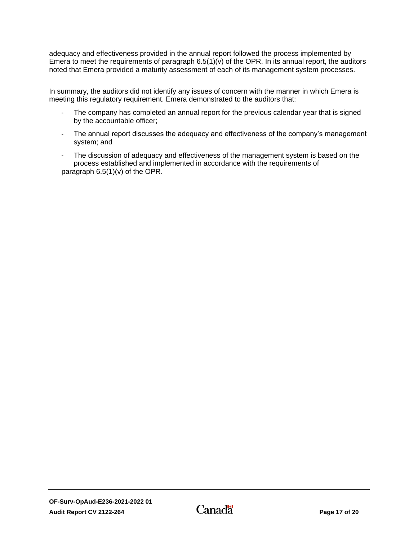adequacy and effectiveness provided in the annual report followed the process implemented by Emera to meet the requirements of paragraph 6.5(1)(v) of the OPR. In its annual report, the auditors noted that Emera provided a maturity assessment of each of its management system processes.

In summary, the auditors did not identify any issues of concern with the manner in which Emera is meeting this regulatory requirement. Emera demonstrated to the auditors that:

- The company has completed an annual report for the previous calendar year that is signed by the accountable officer;
- The annual report discusses the adequacy and effectiveness of the company's management system; and
- The discussion of adequacy and effectiveness of the management system is based on the process established and implemented in accordance with the requirements of paragraph 6.5(1)(v) of the OPR.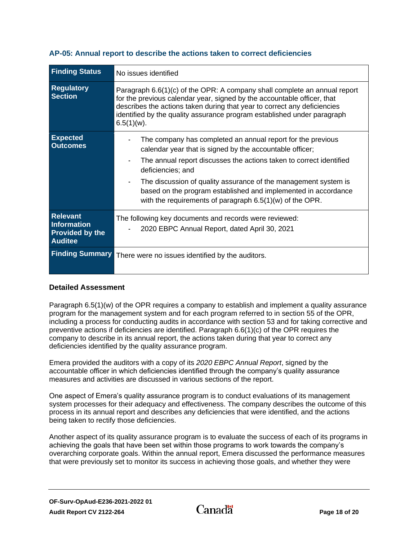| <b>Finding Status</b>                                                             | No issues identified                                                                                                                                                                                                                                                                                                                                                                                                   |  |  |
|-----------------------------------------------------------------------------------|------------------------------------------------------------------------------------------------------------------------------------------------------------------------------------------------------------------------------------------------------------------------------------------------------------------------------------------------------------------------------------------------------------------------|--|--|
| <b>Regulatory</b><br><b>Section</b>                                               | Paragraph 6.6(1)(c) of the OPR: A company shall complete an annual report<br>for the previous calendar year, signed by the accountable officer, that<br>describes the actions taken during that year to correct any deficiencies<br>identified by the quality assurance program established under paragraph<br>$6.5(1)(w)$ .                                                                                           |  |  |
| <b>Expected</b><br><b>Outcomes</b>                                                | The company has completed an annual report for the previous<br>calendar year that is signed by the accountable officer;<br>The annual report discusses the actions taken to correct identified<br>deficiencies; and<br>The discussion of quality assurance of the management system is<br>based on the program established and implemented in accordance<br>with the requirements of paragraph $6.5(1)(w)$ of the OPR. |  |  |
| <b>Relevant</b><br><b>Information</b><br><b>Provided by the</b><br><b>Auditee</b> | The following key documents and records were reviewed:<br>2020 EBPC Annual Report, dated April 30, 2021                                                                                                                                                                                                                                                                                                                |  |  |
| <b>Finding Summary</b>                                                            | There were no issues identified by the auditors.                                                                                                                                                                                                                                                                                                                                                                       |  |  |

### <span id="page-19-0"></span>**AP-05: Annual report to describe the actions taken to correct deficiencies**

### **Detailed Assessment**

Paragraph 6.5(1)(w) of the OPR requires a company to establish and implement a quality assurance program for the management system and for each program referred to in section 55 of the OPR, including a process for conducting audits in accordance with section 53 and for taking corrective and preventive actions if deficiencies are identified. Paragraph 6.6(1)(c) of the OPR requires the company to describe in its annual report, the actions taken during that year to correct any deficiencies identified by the quality assurance program.

Emera provided the auditors with a copy of its *2020 EBPC Annual Report*, signed by the accountable officer in which deficiencies identified through the company's quality assurance measures and activities are discussed in various sections of the report.

One aspect of Emera's quality assurance program is to conduct evaluations of its management system processes for their adequacy and effectiveness. The company describes the outcome of this process in its annual report and describes any deficiencies that were identified, and the actions being taken to rectify those deficiencies.

Another aspect of its quality assurance program is to evaluate the success of each of its programs in achieving the goals that have been set within those programs to work towards the company's overarching corporate goals. Within the annual report, Emera discussed the performance measures that were previously set to monitor its success in achieving those goals, and whether they were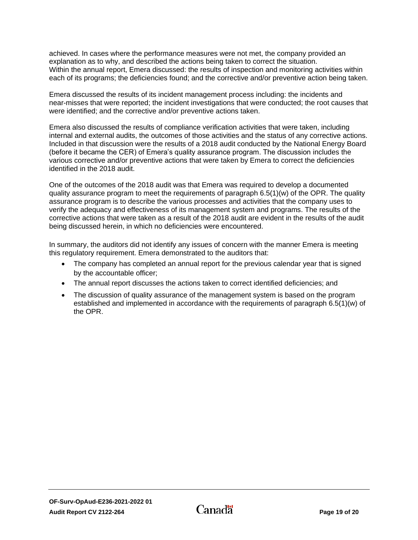achieved. In cases where the performance measures were not met, the company provided an explanation as to why, and described the actions being taken to correct the situation. Within the annual report, Emera discussed: the results of inspection and monitoring activities within each of its programs; the deficiencies found; and the corrective and/or preventive action being taken.

Emera discussed the results of its incident management process including: the incidents and near-misses that were reported; the incident investigations that were conducted; the root causes that were identified; and the corrective and/or preventive actions taken.

Emera also discussed the results of compliance verification activities that were taken, including internal and external audits, the outcomes of those activities and the status of any corrective actions. Included in that discussion were the results of a 2018 audit conducted by the National Energy Board (before it became the CER) of Emera's quality assurance program. The discussion includes the various corrective and/or preventive actions that were taken by Emera to correct the deficiencies identified in the 2018 audit.

One of the outcomes of the 2018 audit was that Emera was required to develop a documented quality assurance program to meet the requirements of paragraph  $6.5(1)(w)$  of the OPR. The quality assurance program is to describe the various processes and activities that the company uses to verify the adequacy and effectiveness of its management system and programs. The results of the corrective actions that were taken as a result of the 2018 audit are evident in the results of the audit being discussed herein, in which no deficiencies were encountered.

In summary, the auditors did not identify any issues of concern with the manner Emera is meeting this regulatory requirement. Emera demonstrated to the auditors that:

- The company has completed an annual report for the previous calendar year that is signed by the accountable officer;
- The annual report discusses the actions taken to correct identified deficiencies; and
- The discussion of quality assurance of the management system is based on the program established and implemented in accordance with the requirements of paragraph 6.5(1)(w) of the OPR.